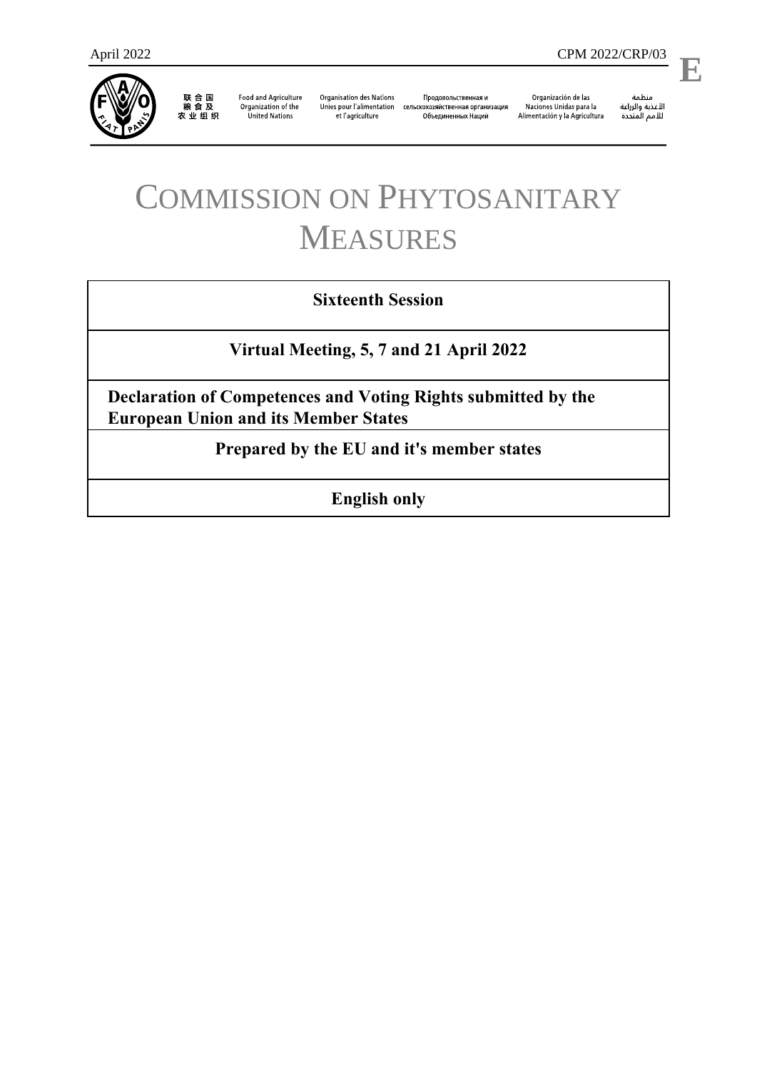

**Food and Agriculture** Organization of the **United Nations** 

**Organisation des Nations** et l'agriculture

Продовольственная и Unies pour l'alimentation сельскохозяйственная организация Объединенных Наций

Organización de las Naciones Unidas para la Alimentación y la Agricultura

منظمة ستنسه<br>الأغذية والزراعة<br>للأمم المتددة

## COMMISSION ON PHYTOSANITARY MEASURES

## **Sixteenth Session**

**Virtual Meeting, 5, 7 and 21 April 2022**

**Declaration of Competences and Voting Rights submitted by the European Union and its Member States** 

**Prepared by the EU and it's member states**

**English only**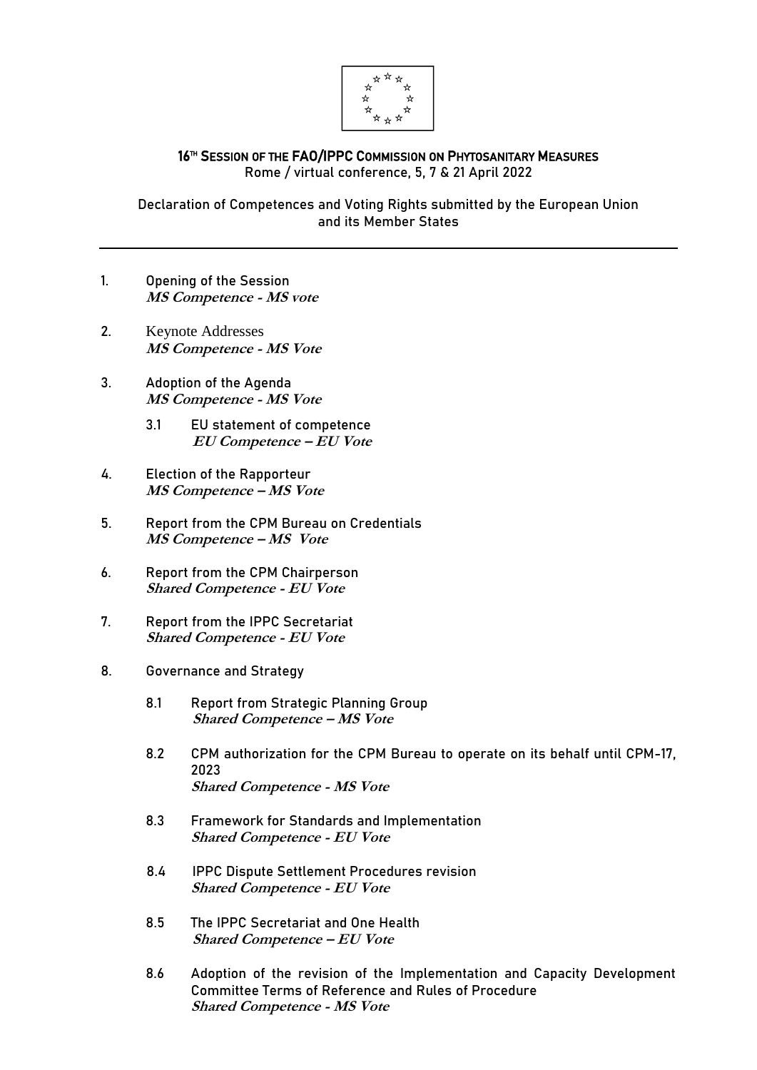

## 16™ SESSION OF THE FAO/IPPC COMMISSION ON PHYTOSANITARY MEASURES Rome / virtual conference, 5, 7 & 21 April 2022

Declaration of Competences and Voting Rights submitted by the European Union and its Member States

- 1. Opening of the Session **MS Competence - MS vote**
- 2. Keynote Addresses **MS Competence - MS Vote**
- 3. Adoption of the Agenda **MS Competence - MS Vote**
	- 3.1 EU statement of competence **EU Competence – EU Vote**
- 4. Election of the Rapporteur **MS Competence – MS Vote**
- 5. Report from the CPM Bureau on Credentials **MS Competence – MS Vote**
- 6. Report from the CPM Chairperson **Shared Competence - EU Vote**
- 7. Report from the IPPC Secretariat **Shared Competence - EU Vote**
- 8. Governance and Strategy
	- 8.1 Report from Strategic Planning Group **Shared Competence – MS Vote**
	- 8.2 CPM authorization for the CPM Bureau to operate on its behalf until CPM-17, 2023 **Shared Competence - MS Vote**
	- 8.3 Framework for Standards and Implementation **Shared Competence - EU Vote**
	- 8.4 IPPC Dispute Settlement Procedures revision **Shared Competence - EU Vote**
	- 8.5 The IPPC Secretariat and One Health **Shared Competence – EU Vote**
	- 8.6 Adoption of the revision of the Implementation and Capacity Development Committee Terms of Reference and Rules of Procedure **Shared Competence - MS Vote**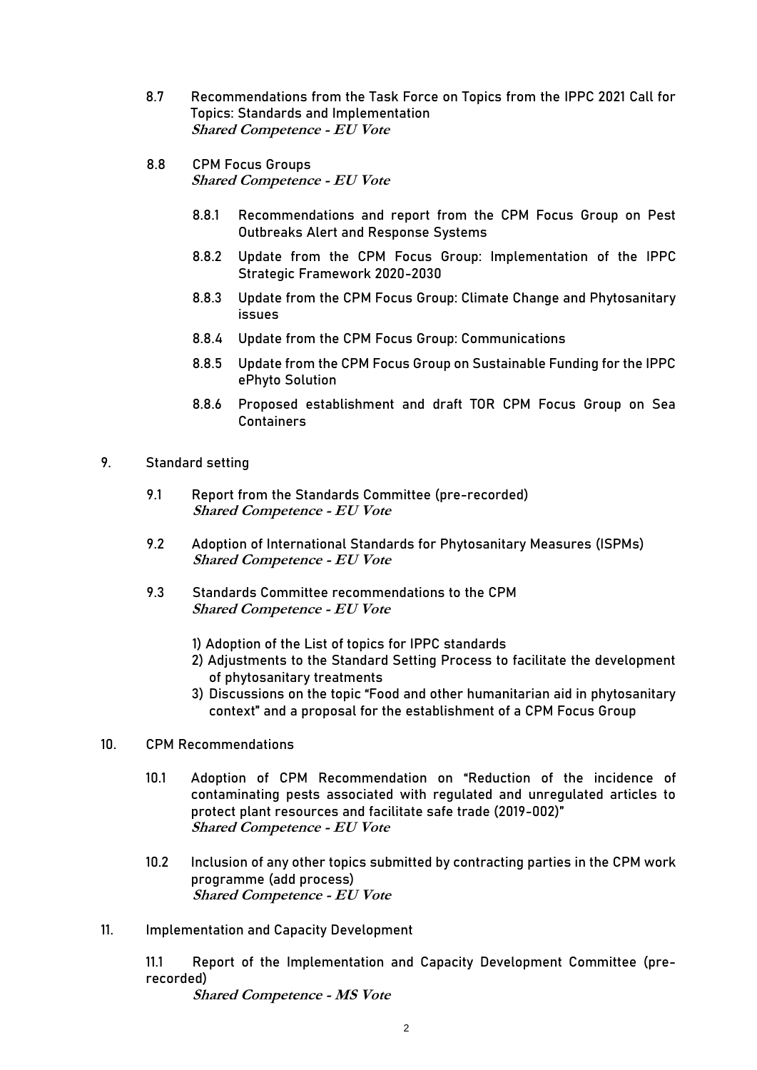- 8.7 Recommendations from the Task Force on Topics from the IPPC 2021 Call for Topics: Standards and Implementation **Shared Competence - EU Vote**
- 8.8 CPM Focus Groups **Shared Competence - EU Vote**
	- 8.8.1 Recommendations and report from the CPM Focus Group on Pest Outbreaks Alert and Response Systems
	- 8.8.2 Update from the CPM Focus Group: Implementation of the IPPC Strategic Framework 2020-2030
	- 8.8.3 Update from the CPM Focus Group: Climate Change and Phytosanitary issues
	- 8.8.4 Update from the CPM Focus Group: Communications
	- 8.8.5 Update from the CPM Focus Group on Sustainable Funding for the IPPC ePhyto Solution
	- 8.8.6 Proposed establishment and draft TOR CPM Focus Group on Sea **Containers**
- 9. Standard setting
	- 9.1 Report from the Standards Committee (pre-recorded) **Shared Competence - EU Vote**
	- 9.2 Adoption of International Standards for Phytosanitary Measures (ISPMs) **Shared Competence - EU Vote**
	- 9.3 Standards Committee recommendations to the CPM **Shared Competence - EU Vote**
		- 1) Adoption of the List of topics for IPPC standards
		- 2) Adjustments to the Standard Setting Process to facilitate the development of phytosanitary treatments
		- 3) Discussions on the topic "Food and other humanitarian aid in phytosanitary context" and a proposal for the establishment of a CPM Focus Group
- 10. CPM Recommendations
	- 10.1 Adoption of CPM Recommendation on "Reduction of the incidence of contaminating pests associated with regulated and unregulated articles to protect plant resources and facilitate safe trade (2019-002)" **Shared Competence - EU Vote**
	- 10.2 Inclusion of any other topics submitted by contracting parties in the CPM work programme (add process) **Shared Competence - EU Vote**
- 11. Implementation and Capacity Development

11.1 Report of the Implementation and Capacity Development Committee (prerecorded)

**Shared Competence - MS Vote**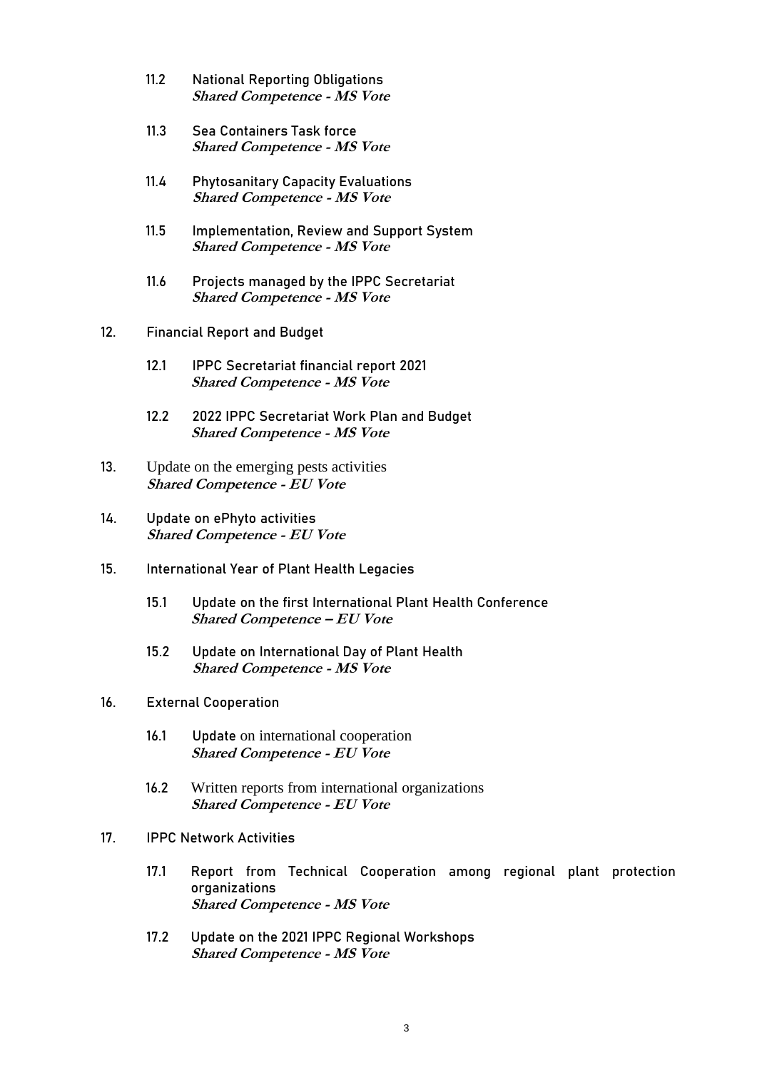- 11.2 National Reporting Obligations **Shared Competence - MS Vote**
- 11.3 Sea Containers Task force **Shared Competence - MS Vote**
- 11.4 Phytosanitary Capacity Evaluations **Shared Competence - MS Vote**
- 11.5 Implementation, Review and Support System **Shared Competence - MS Vote**
- 11.6 Projects managed by the IPPC Secretariat **Shared Competence - MS Vote**
- 12. Financial Report and Budget
	- 12.1 IPPC Secretariat financial report 2021 **Shared Competence - MS Vote**
	- 12.2 2022 IPPC Secretariat Work Plan and Budget **Shared Competence - MS Vote**
- 13. Update on the emerging pests activities **Shared Competence - EU Vote**
- 14. Update on ePhyto activities **Shared Competence - EU Vote**
- 15. International Year of Plant Health Legacies
	- 15.1 Update on the first International Plant Health Conference **Shared Competence – EU Vote**
	- 15.2 Update on International Day of Plant Health **Shared Competence - MS Vote**
- 16. External Cooperation
	- 16.1 Update on international cooperation **Shared Competence - EU Vote**
	- 16.2 Written reports from international organizations **Shared Competence - EU Vote**
- 17. IPPC Network Activities
	- 17.1 Report from Technical Cooperation among regional plant protection organizations **Shared Competence - MS Vote**
	- 17.2 Update on the 2021 IPPC Regional Workshops **Shared Competence - MS Vote**